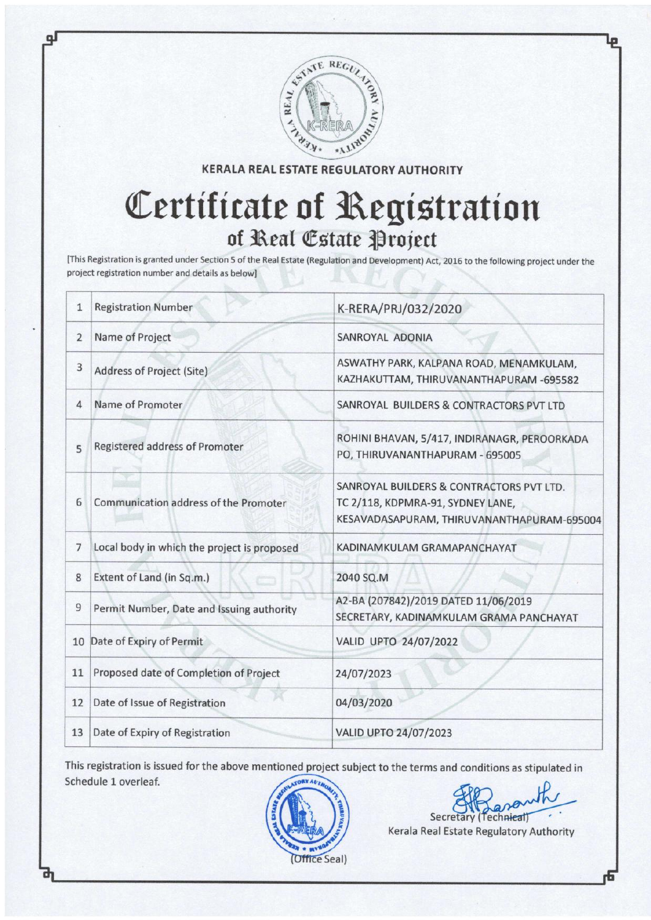

**KERALA REAL ESTATE REGULATORY AUTHORITY** 

## Certiticate of Registration of Real Estate Project

[This Registration is granted under Section 5 of the Real Estate (Regulation and Development) Act, 2OL5 to the following project under the project registration number and details as belowl

| 1              | <b>Registration Number</b>                  | K-RERA/PRJ/032/2020                                                                                                         |
|----------------|---------------------------------------------|-----------------------------------------------------------------------------------------------------------------------------|
| $\overline{2}$ | Name of Project                             | SANROYAL ADONIA                                                                                                             |
| 3              | Address of Project (Site)                   | ASWATHY PARK, KALPANA ROAD, MENAMKULAM,<br>KAZHAKUTTAM, THIRUVANANTHAPURAM -695582                                          |
| 4              | Name of Promoter                            | SANROYAL BUILDERS & CONTRACTORS PVT LTD                                                                                     |
| 5              | Registered address of Promoter              | ROHINI BHAVAN, 5/417, INDIRANAGR, PEROORKADA<br>PO, THIRUVANANTHAPURAM - 695005                                             |
| 6              | Communication address of the Promoter       | SANROYAL BUILDERS & CONTRACTORS PVT LTD.<br>TC 2/118, KDPMRA-91, SYDNEY LANE,<br>KESAVADASAPURAM, THIRUVANANTHAPURAM-695004 |
| $\overline{7}$ | Local body in which the project is proposed | KADINAMKULAM GRAMAPANCHAYAT                                                                                                 |
| 8              | Extent of Land (in Sq.m.)                   | 2040 SQ.M                                                                                                                   |
| 9              | Permit Number, Date and Issuing authority   | A2-BA (207842)/2019 DATED 11/06/2019<br>SECRETARY, KADINAMKULAM GRAMA PANCHAYAT                                             |
|                | 10 Date of Expiry of Permit                 | VALID UPTO 24/07/2022                                                                                                       |
| 11             | Proposed date of Completion of Project      | 24/07/2023                                                                                                                  |
| 12             | Date of Issue of Registration               | 04/03/2020                                                                                                                  |
| 13             | Date of Expiry of Registration              | <b>VALID UPTO 24/07/2023</b>                                                                                                |
|                |                                             |                                                                                                                             |

This registration is issued for the above mentioned project subject to the terms and conditions as stipulated in Schedule 1 overleaf.



Kerala Real Estate Regulatory Authority